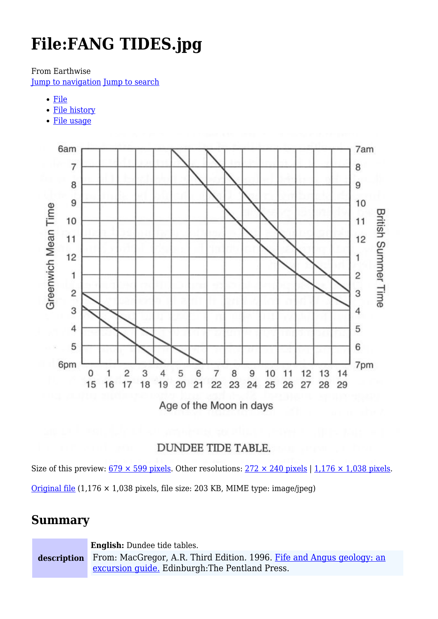# **File:FANG TIDES.jpg**

From Earthwise

[Jump to navigation](#page--1-0) [Jump to search](#page--1-0)

- [File](#page--1-0)
- [File history](#page--1-0)
- [File usage](#page--1-0)



Age of the Moon in days

### **DUNDEE TIDE TABLE.**

Size of this preview:  $679 \times 599$  pixels. Other resolutions:  $272 \times 240$  pixels | 1,176  $\times$  1,038 pixels.

[Original file](http://earthwise.bgs.ac.uk/images/c/cb/FANG_TIDES.jpg)  $(1,176 \times 1,038)$  pixels, file size: 203 KB, MIME type: image/jpeg)

## **Summary**

**description English:** Dundee tide tables. From: MacGregor, A.R. Third Edition. 1996. [Fife and Angus geology: an](http://earthwise.bgs.ac.uk/index.php/Fife_and_Angus_geology:_an_excursion_guide) [excursion guide.](http://earthwise.bgs.ac.uk/index.php/Fife_and_Angus_geology:_an_excursion_guide) Edinburgh:The Pentland Press.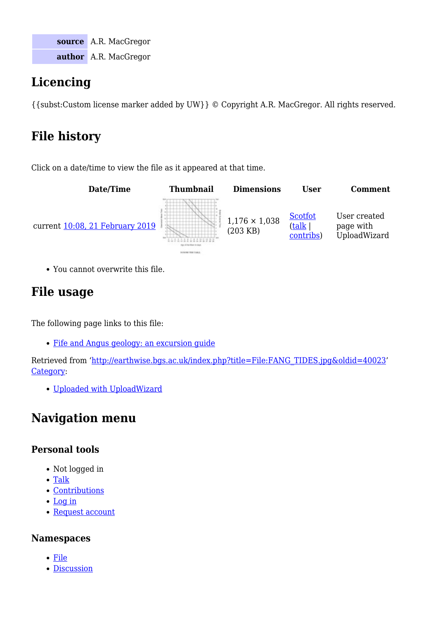**source** A.R. MacGregor **author** A.R. MacGregor

# **Licencing**

{{subst:Custom license marker added by UW}} © Copyright A.R. MacGregor. All rights reserved.

# **File history**

Click on a date/time to view the file as it appeared at that time.



You cannot overwrite this file.

# **File usage**

The following page links to this file:

[Fife and Angus geology: an excursion guide](http://earthwise.bgs.ac.uk/index.php/Fife_and_Angus_geology:_an_excursion_guide)

Retrieved from ['http://earthwise.bgs.ac.uk/index.php?title=File:FANG\\_TIDES.jpg&oldid=40023'](http://earthwise.bgs.ac.uk/index.php?title=File:FANG_TIDES.jpg&oldid=40023) [Category](http://earthwise.bgs.ac.uk/index.php/Special:Categories):

[Uploaded with UploadWizard](http://earthwise.bgs.ac.uk/index.php/Category:Uploaded_with_UploadWizard)

# **Navigation menu**

### **Personal tools**

- Not logged in
- [Talk](http://earthwise.bgs.ac.uk/index.php/Special:MyTalk)
- [Contributions](http://earthwise.bgs.ac.uk/index.php/Special:MyContributions)
- [Log in](http://earthwise.bgs.ac.uk/index.php?title=Special:UserLogin&returnto=File%3AFANG+TIDES.jpg&returntoquery=action%3Dmpdf)
- [Request account](http://earthwise.bgs.ac.uk/index.php/Special:RequestAccount)

### **Namespaces**

- [File](http://earthwise.bgs.ac.uk/index.php/File:FANG_TIDES.jpg)
- [Discussion](http://earthwise.bgs.ac.uk/index.php?title=File_talk:FANG_TIDES.jpg&action=edit&redlink=1)